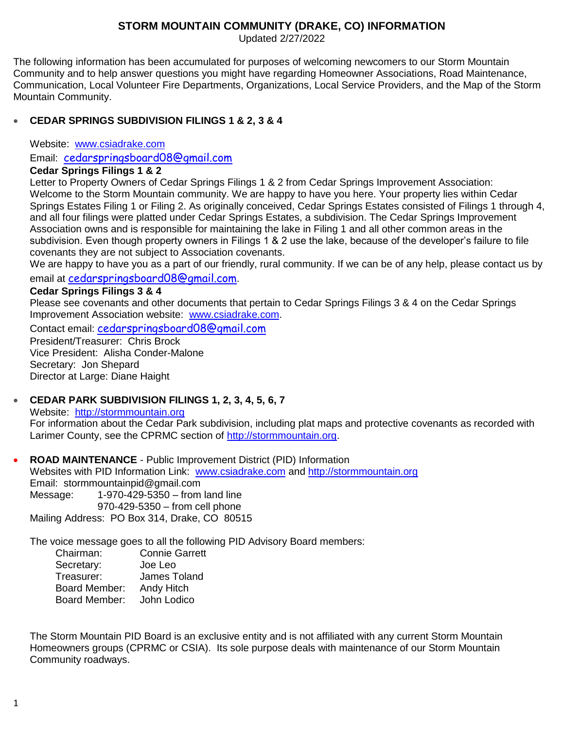## **STORM MOUNTAIN COMMUNITY (DRAKE, CO) INFORMATION**

Updated 2/27/2022

The following information has been accumulated for purposes of welcoming newcomers to our Storm Mountain Community and to help answer questions you might have regarding Homeowner Associations, Road Maintenance, Communication, Local Volunteer Fire Departments, Organizations, Local Service Providers, and the Map of the Storm Mountain Community.

# **CEDAR SPRINGS SUBDIVISION FILINGS 1 & 2, 3 & 4**

Website: [www.csiadrake.com](http://www.csiadrake.com/)

Email: [cedarspringsboard08@gmail.com](mailto:cedarspringsboard08@gmail.com)

## **Cedar Springs Filings 1 & 2**

Letter to Property Owners of Cedar Springs Filings 1 & 2 from Cedar Springs Improvement Association: Welcome to the Storm Mountain community. We are happy to have you here. Your property lies within Cedar Springs Estates Filing 1 or Filing 2. As originally conceived, Cedar Springs Estates consisted of Filings 1 through 4, and all four filings were platted under Cedar Springs Estates, a subdivision. The Cedar Springs Improvement Association owns and is responsible for maintaining the lake in Filing 1 and all other common areas in the subdivision. Even though property owners in Filings 1 & 2 use the lake, because of the developer's failure to file covenants they are not subject to Association covenants.

We are happy to have you as a part of our friendly, rural community. If we can be of any help, please contact us by email at [cedarspringsboard08@gmail.com](mailto:cedarspringsboard08@gmail.com).

## **Cedar Springs Filings 3 & 4**

Please see covenants and other documents that pertain to Cedar Springs Filings 3 & 4 on the Cedar Springs Improvement Association website: [www.csiadrake.com.](http://www.cedarspringsimprovement.com/)

Contact email: [cedarspringsboard08@gmail.com](mailto:cedarspringsboard08@gmail.com)

President/Treasurer: Chris Brock Vice President: Alisha Conder-Malone Secretary: Jon Shepard Director at Large: Diane Haight

# **CEDAR PARK SUBDIVISION FILINGS 1, 2, 3, 4, 5, 6, 7**

Website: [http://stormmountain.org](http://stormmountain.org/) For information about the Cedar Park subdivision, including plat maps and protective covenants as recorded with Larimer County, see the CPRMC section of [http://stormmountain.org.](http://stormmountain.org/)

 **ROAD MAINTENANCE** - Public Improvement District (PID) Information Websites with PID Information Link: [www.csiadrake.com](http://www.cedarspringsimprovement.com/) and [http://stormmountain.org](http://stormmountain.org/) Email: stormmountainpid@gmail.com Message: 1-970-429-5350 – from land line 970-429-5350 – from cell phone

Mailing Address: PO Box 314, Drake, CO 80515

The voice message goes to all the following PID Advisory Board members:

Chairman: Connie Garrett Secretary: Joe Leo Treasurer: James Toland Board Member: Andy Hitch Board Member: John Lodico

The Storm Mountain PID Board is an exclusive entity and is not affiliated with any current Storm Mountain Homeowners groups (CPRMC or CSIA). Its sole purpose deals with maintenance of our Storm Mountain Community roadways.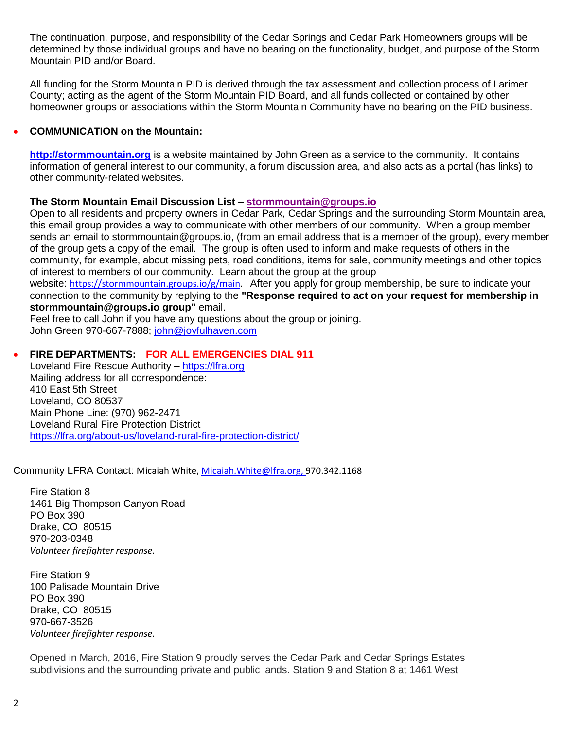The continuation, purpose, and responsibility of the Cedar Springs and Cedar Park Homeowners groups will be determined by those individual groups and have no bearing on the functionality, budget, and purpose of the Storm Mountain PID and/or Board.

All funding for the Storm Mountain PID is derived through the tax assessment and collection process of Larimer County; acting as the agent of the Storm Mountain PID Board, and all funds collected or contained by other homeowner groups or associations within the Storm Mountain Community have no bearing on the PID business.

### **COMMUNICATION on the Mountain:**

**[http://stormmountain.org](http://stormmountain.org/)** is a website maintained by John Green as a service to the community. It contains information of general interest to our community, a forum discussion area, and also acts as a portal (has links) to other community-related websites.

#### **The Storm Mountain Email Discussion List – [stormmountain@groups.io](mailto:stormmountain@groups.io)**

Open to all residents and property owners in Cedar Park, Cedar Springs and the surrounding Storm Mountain area, this email group provides a way to communicate with other members of our community. When a group member sends an email to stormmountain@groups.io, (from an email address that is a member of the group), every member of the group gets a copy of the email. The group is often used to inform and make requests of others in the community, for example, about missing pets, road conditions, items for sale, community meetings and other topics of interest to members of our community. Learn about the group at the group website: [https://stormmountain.groups.io/g/main.](https://stormmountain.groups.io/g/main) After you apply for group membership, be sure to indicate your

connection to the community by replying to the **"Response required to act on your request for membership in stormmountain@groups.io group"** email.

Feel free to call John if you have any questions about the group or joining. John Green 970-667-7888; [john@joyfulhaven.com](mailto:john@joyfulhaven.com)

## **FIRE DEPARTMENTS: FOR ALL EMERGENCIES DIAL 911**

Loveland Fire Rescue Authority – [https://lfra.org](https://lfra.org/) Mailing address for all correspondence: 410 East 5th Street Loveland, CO 80537 Main Phone Line: (970) 962-2471 Loveland Rural Fire Protection District <https://lfra.org/about-us/loveland-rural-fire-protection-district/>

Community LFRA Contact: Micaiah White[, Micaiah.White@lfra.org,](mailto:Micaiah.White@lfra.org) 970.342.1168

Fire Station 8 1461 Big Thompson Canyon Road PO Box 390 Drake, CO 80515 970-203-0348 *Volunteer firefighter response.*

Fire Station 9 100 Palisade Mountain Drive PO Box 390 Drake, CO 80515 970-667-3526 *Volunteer firefighter response.*

Opened in March, 2016, Fire Station 9 proudly serves the Cedar Park and Cedar Springs Estates subdivisions and the surrounding private and public lands. Station 9 and Station 8 at 1461 West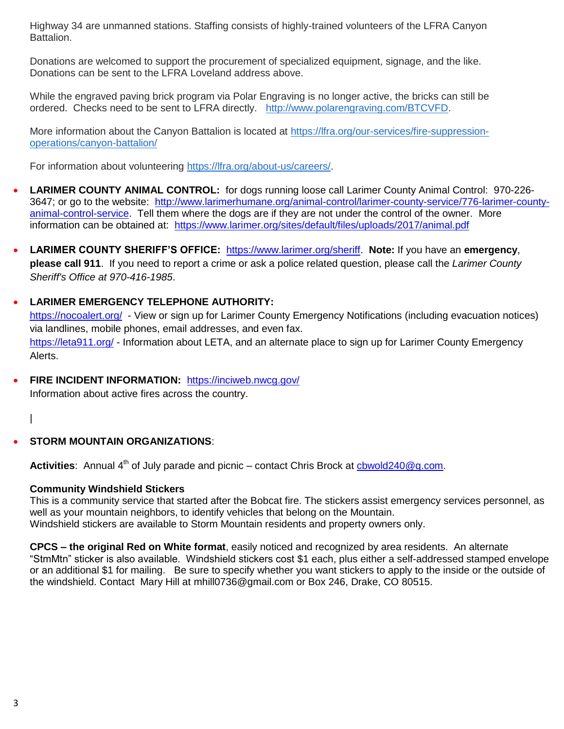Highway 34 are unmanned stations. Staffing consists of highly-trained volunteers of the LFRA Canyon Battalion.

Donations are welcomed to support the procurement of specialized equipment, signage, and the like. Donations can be sent to the LFRA Loveland address above.

While the engraved paving brick program via Polar Engraving is no longer active, the bricks can still be ordered. Checks need to be sent to LFRA directly. [http://www.polarengraving.com/BTCVFD.](http://www.polarengraving.com/BTCVFD)

More information about the Canyon Battalion is located at [https://lfra.org/our-services/fire-suppression](https://lfra.org/our-services/fire-suppression-operations/canyon-battalion/)[operations/canyon-battalion/](https://lfra.org/our-services/fire-suppression-operations/canyon-battalion/)

For information about volunteering [https://lfra.org/about-us/careers/.](https://lfra.org/about-us/careers/)

- **LARIMER COUNTY ANIMAL CONTROL:** for dogs running loose call Larimer County Animal Control: 970-226- 3647; or go to the website: [http://www.larimerhumane.org/animal-control/larimer-county-service/776-larimer-county](http://www.larimerhumane.org/animal-control/larimer-county-service/776-larimer-county-animal-control-service)[animal-control-service.](http://www.larimerhumane.org/animal-control/larimer-county-service/776-larimer-county-animal-control-service) Tell them where the dogs are if they are not under the control of the owner. More information can be obtained at: <https://www.larimer.org/sites/default/files/uploads/2017/animal.pdf>
- **LARIMER COUNTY SHERIFF'S OFFICE:** [https://www.larimer.org/sheriff.](https://www.larimer.org/sheriff) **Note:** If you have an **emergency**, **please call 911**. If you need to report a crime or ask a police related question, please call the *Larimer County Sheriff's Office at 970-416-1985*.

## **LARIMER EMERGENCY TELEPHONE AUTHORITY:**

<https://nocoalert.org/>- View or sign up for Larimer County Emergency Notifications (including evacuation notices) via landlines, mobile phones, email addresses, and even fax. <https://leta911.org/> - Information about LETA, and an alternate place to sign up for Larimer County Emergency Alerts.

- **FIRE INCIDENT INFORMATION:** <https://inciweb.nwcg.gov/> Information about active fires across the country.
	- |

## **STORM MOUNTAIN ORGANIZATIONS**:

Activities: Annual 4<sup>th</sup> of July parade and picnic – contact Chris Brock at chwold240@q.com.

#### **Community Windshield Stickers**

This is a community service that started after the Bobcat fire. The stickers assist emergency services personnel, as well as your mountain neighbors, to identify vehicles that belong on the Mountain. Windshield stickers are available to Storm Mountain residents and property owners only.

**CPCS – the original Red on White format**, easily noticed and recognized by area residents. An alternate "StmMtn" sticker is also available. Windshield stickers cost \$1 each, plus either a self-addressed stamped envelope or an additional \$1 for mailing. Be sure to specify whether you want stickers to apply to the inside or the outside of the windshield. Contact Mary Hill at mhill0736@gmail.com or Box 246, Drake, CO 80515.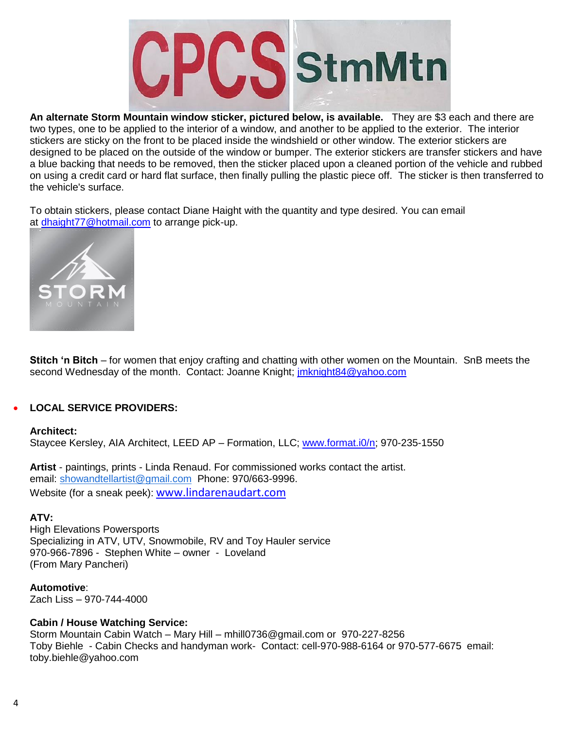

**An alternate Storm Mountain window sticker, pictured below, is available.** They are \$3 each and there are two types, one to be applied to the interior of a window, and another to be applied to the exterior. The interior stickers are sticky on the front to be placed inside the windshield or other window. The exterior stickers are designed to be placed on the outside of the window or bumper. The exterior stickers are transfer stickers and have a blue backing that needs to be removed, then the sticker placed upon a cleaned portion of the vehicle and rubbed on using a credit card or hard flat surface, then finally pulling the plastic piece off. The sticker is then transferred to the vehicle's surface.

To obtain stickers, please contact Diane Haight with the quantity and type desired. You can email at <dhaight77@hotmail.com> to arrange pick-up.



**Stitch 'n Bitch** – for women that enjoy crafting and chatting with other women on the Mountain. SnB meets the second Wednesday of the month. Contact: Joanne Knight; [jmknight84@yahoo.com](mailto:jmknight84@yahoo.com)

### **LOCAL SERVICE PROVIDERS:**

#### **Architect:**

Staycee Kersley, AIA Architect, LEED AP – Formation, LLC; [www.format.i0/n;](http://www.format.i0/n) 970-235-1550

**Artist** - paintings, prints - Linda Renaud. For commissioned works contact the artist. email: [showandtellartist@gmail.com](mailto:showandtellartist@gmail.com) Phone: 970/663-9996. Website (for a sneak peek): [www.lindarenaudart.com](https://www.lindarenaudart.com/)

#### **ATV:**

High Elevations Powersports Specializing in ATV, UTV, Snowmobile, RV and Toy Hauler service 970-966-7896 - Stephen White – owner - Loveland (From Mary Pancheri)

**Automotive**: Zach Liss – 970-744-4000

### **Cabin / House Watching Service:**

Storm Mountain Cabin Watch – Mary Hill – mhill0736@gmail.com or 970-227-8256 Toby Biehle - Cabin Checks and handyman work- Contact: cell-970-988-6164 or 970-577-6675 email: [toby.biehle@yahoo.com](mailto:toby.biehle@yahoo.com)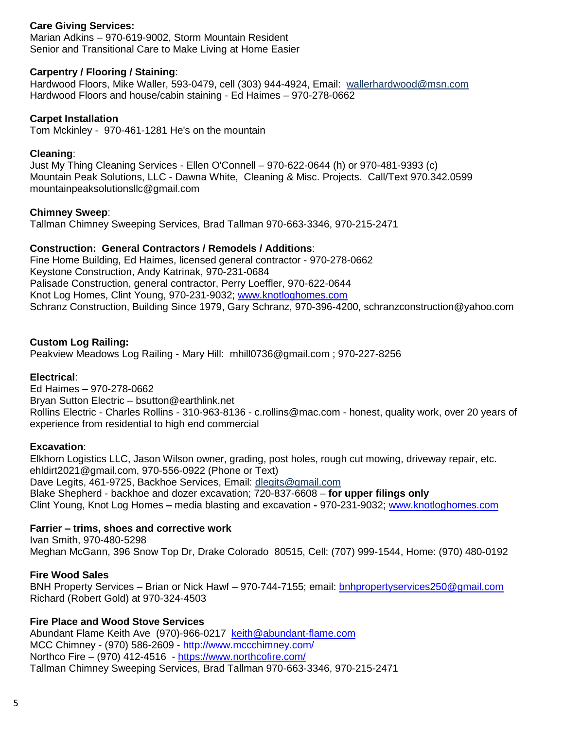## **Care Giving Services:**

Marian Adkins – 970-619-9002, Storm Mountain Resident Senior and Transitional Care to Make Living at Home Easier

### **Carpentry / Flooring / Staining**:

Hardwood Floors, Mike Waller, 593-0479, cell (303) 944-4924, Email: [wallerhardwood@msn.com](mailto:wallerhardwood@msn.com) Hardwood Floors and house/cabin staining - Ed Haimes – 970-278-0662

#### **Carpet Installation**

Tom Mckinley - 970-461-1281 He's on the mountain

#### **Cleaning**:

Just My Thing Cleaning Services - Ellen O'Connell – 970-622-0644 (h) or 970-481-9393 (c) Mountain Peak Solutions, LLC - Dawna White, Cleaning & Misc. Projects. Call/Text 970.342.0599 [mountainpeaksolutionsllc@gmail.com](mailto:mountainpeaksolutionsllc@gmail.com)

#### **Chimney Sweep**:

Tallman Chimney Sweeping Services, Brad Tallman 970-663-3346, 970-215-2471

### **Construction: General Contractors / Remodels / Additions**:

Fine Home Building, Ed Haimes, licensed general contractor - 970-278-0662 Keystone Construction, Andy Katrinak, 970-231-0684 Palisade Construction, general contractor, Perry Loeffler, 970-622-0644 Knot Log Homes, Clint Young, 970-231-9032; [www.knotloghomes.com](http://www.knotloghomes.com/) Schranz Construction, Building Since 1979, Gary Schranz, 970-396-4200, [schranzconstruction@yahoo.com](mailto:schranzconstruction@yahoo.com)

### **Custom Log Railing:**

Peakview Meadows Log Railing - Mary Hill: mhill0736@gmail.com ; 970-227-8256

### **Electrical**:

Ed Haimes – 970-278-0662 Bryan Sutton Electric – bsutton@earthlink.net Rollins Electric - Charles Rollins - 310-963-8136 - c.rollins@mac.com - honest, quality work, over 20 years of experience from residential to high end commercial

### **Excavation**:

Elkhorn Logistics LLC, Jason Wilson owner, grading, post holes, rough cut mowing, driveway repair, etc. [ehldirt2021@gmail.com,](mailto:ehldirt2021@gmail.com) 970-556-0922 (Phone or Text) Dave Legits, 461-9725, Backhoe Services, Email: [dlegits@gmail.com](mailto:dlegits@gmail.com) Blake Shepherd - backhoe and dozer excavation; 720-837-6608 – **for upper filings only** Clint Young, Knot Log Homes **–** media blasting and excavation **-** 970-231-9032; [www.knotloghomes.com](http://www.knotloghomes.com/)

### **Farrier – trims, shoes and corrective work**

Ivan Smith, 970-480-5298 Meghan McGann, 396 Snow Top Dr, Drake Colorado 80515, Cell: (707) 999-1544, Home: (970) 480-0192

### **Fire Wood Sales**

BNH Property Services – Brian or Nick Hawf – 970-744-7155; email: [bnhpropertyservices250@gmail.com](mailto:bnhpropertyservices250@gmail.com) Richard (Robert Gold) at 970-324-4503

## **Fire Place and Wood Stove Services**

Abundant Flame Keith Ave (970)-966-0217 [keith@abundant-flame.com](mailto:keith@abundant-flame.com) MCC Chimney - (970) 586-2609 - <http://www.mccchimney.com/> Northco Fire – (970) 412-4516 - <https://www.northcofire.com/> Tallman Chimney Sweeping Services, Brad Tallman 970-663-3346, 970-215-2471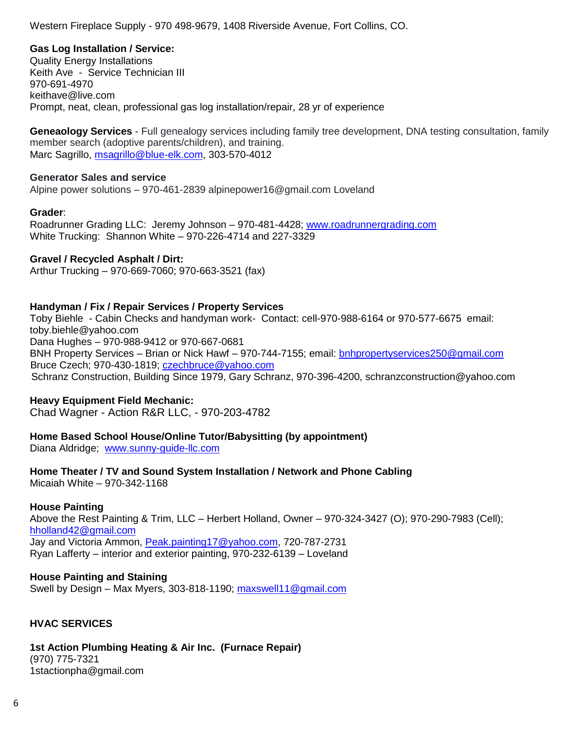Western Fireplace Supply - 970 498-9679, 1408 Riverside Avenue, Fort Collins, CO.

## **Gas Log Installation / Service:**

Quality Energy Installations Keith Ave - Service Technician III 970-691-4970 [keithave@live.com](mailto:keithave@live.com) Prompt, neat, clean, professional gas log installation/repair, 28 yr of experience

**Geneaology Services** - Full genealogy services including family tree development, DNA testing consultation, family member search (adoptive parents/children), and training. Marc Sagrillo, [msagrillo@blue-elk.com,](mailto:msagrillo@blue-elk.com) 303-570-4012

#### **Generator Sales and service**

Alpine power solutions – 970-461-2839 [alpinepower16@gmail.com](mailto:alpinepower16@gmail.com) Loveland

### **Grader**:

Roadrunner Grading LLC: Jeremy Johnson – 970-481-4428; [www.roadrunnergrading.com](http://www.roadrunnergrading.com/) White Trucking: Shannon White – 970-226-4714 and 227-3329

#### **Gravel / Recycled Asphalt / Dirt:**

Arthur Trucking – 970-669-7060; 970-663-3521 (fax)

### **Handyman / Fix / Repair Services / Property Services**

Toby Biehle - Cabin Checks and handyman work- Contact: cell-970-988-6164 or 970-577-6675 email: toby.biehle@yahoo.com Dana Hughes – 970-988-9412 or 970-667-0681 BNH Property Services – Brian or Nick Hawf – 970-744-7155; email: [bnhpropertyservices250@gmail.com](mailto:bnhpropertyservices250@gmail.com) Bruce Czech; 970-430-1819; [czechbruce@yahoo.com](mailto:czechbruce@yahoo.com) Schranz Construction, Building Since 1979, Gary Schranz, 970-396-4200, [schranzconstruction@yahoo.com](mailto:schranzconstruction@yahoo.com)

### **Heavy Equipment Field Mechanic:**

Chad Wagner - Action R&R LLC, - 970-203-4782

## **Home Based School House/Online Tutor/Babysitting (by appointment)**

Diana Aldridge; [www.sunny-guide-llc.com](http://www.sunny-guide-llc.com/)

# **Home Theater / TV and Sound System Installation / Network and Phone Cabling**

Micaiah White – 970-342-1168

### **House Painting**

Above the Rest Painting & Trim, LLC – Herbert Holland, Owner – 970-324-3427 (O); 970-290-7983 (Cell); [hholland42@gmail.com](mailto:hholland42@gmail.com) Jay and Victoria Ammon, [Peak.painting17@yahoo.com,](mailto:Peak.painting17@yahoo.com) 720-787-2731 Ryan Lafferty – interior and exterior painting, 970-232-6139 – Loveland

### **House Painting and Staining**

Swell by Design – Max Myers, 303-818-1190; [maxswell11@gmail.com](mailto:maxswell11@gmail.com)

## **HVAC SERVICES**

### **1st Action Plumbing Heating & Air Inc. (Furnace Repair)**

(970) 775-7321 1stactionpha@gmail.com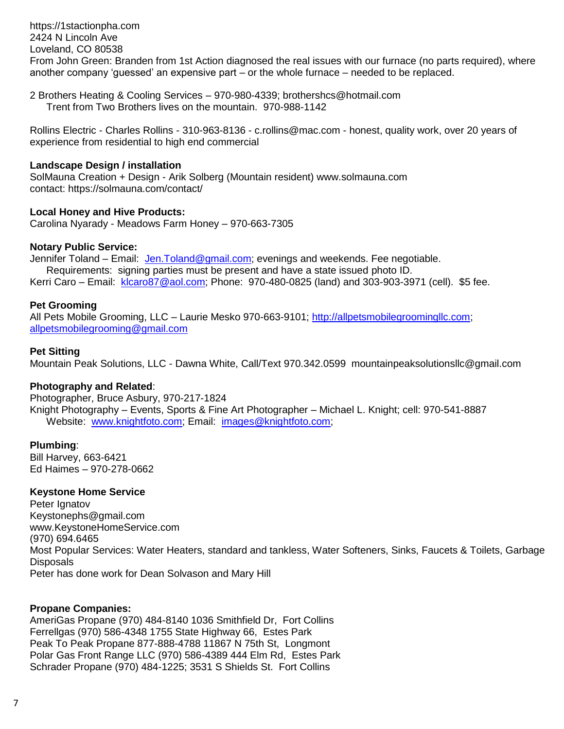[https://1stactionpha.com](https://1stactionpha.com/) 2424 N Lincoln Ave Loveland, CO 80538 From John Green: Branden from 1st Action diagnosed the real issues with our furnace (no parts required), where another company 'guessed' an expensive part – or the whole furnace – needed to be replaced.

2 Brothers Heating & Cooling Services – 970-980-4339; brothershcs@hotmail.com Trent from Two Brothers lives on the mountain. 970-988-1142

Rollins Electric - Charles Rollins - 310-963-8136 - c.rollins@mac.com - honest, quality work, over 20 years of experience from residential to high end commercial

#### **Landscape Design / installation**

SolMauna Creation + Design - Arik Solberg (Mountain resident) www.solmauna.com contact: https://solmauna.com/contact/

#### **Local Honey and Hive Products:**

Carolina Nyarady - Meadows Farm Honey – 970-663-7305

#### **Notary Public Service:**

Jennifer Toland – Email: [Jen.Toland@gmail.com;](mailto:Jen.Toland@gmail.com) evenings and weekends. Fee negotiable. Requirements: signing parties must be present and have a state issued photo ID. Kerri Caro – Email: [klcaro87@aol.com;](mailto:klcaro87@aol.com) Phone: 970-480-0825 (land) and 303-903-3971 (cell). \$5 fee.

#### **Pet Grooming**

All Pets Mobile Grooming, LLC – Laurie Mesko 970-663-9101; [http://allpetsmobilegroomingllc.com;](http://allpetsmobilegroomingllc.com/) [allpetsmobilegrooming@gmail.com](mailto:allpetsmobilegrooming@gmail.com)

#### **Pet Sitting**

Mountain Peak Solutions, LLC - Dawna White, Call/Text 970.342.0599 [mountainpeaksolutionsllc@gmail.com](mailto:mountainpeaksolutionsllc@gmail.com)

### **Photography and Related**:

Photographer, Bruce Asbury, 970-217-1824 Knight Photography – Events, Sports & Fine Art Photographer – Michael L. Knight; cell: 970-541-8887 Website:[www.knightfoto.com;](http://www.knightfoto.com/) Email: [images@knightfoto.com;](mailto:images@knightfoto.com)

### **Plumbing**:

Bill Harvey, 663-6421 Ed Haimes – 970-278-0662

### **Keystone Home Service**

Peter Ignatov Keystonephs@gmail.com www.KeystoneHomeService.com (970) 694.6465 Most Popular Services: Water Heaters, standard and tankless, Water Softeners, Sinks, Faucets & Toilets, Garbage **Disposals** Peter has done work for Dean Solvason and Mary Hill

#### **Propane Companies:**

AmeriGas Propane (970) 484-8140 1036 Smithfield Dr, Fort Collins Ferrellgas (970) 586-4348 1755 State Highway 66, Estes Park Peak To Peak Propane 877-888-4788 11867 N 75th St, Longmont Polar Gas Front Range LLC (970) 586-4389 444 Elm Rd, Estes Park Schrader Propane (970) 484-1225; 3531 S Shields St. Fort Collins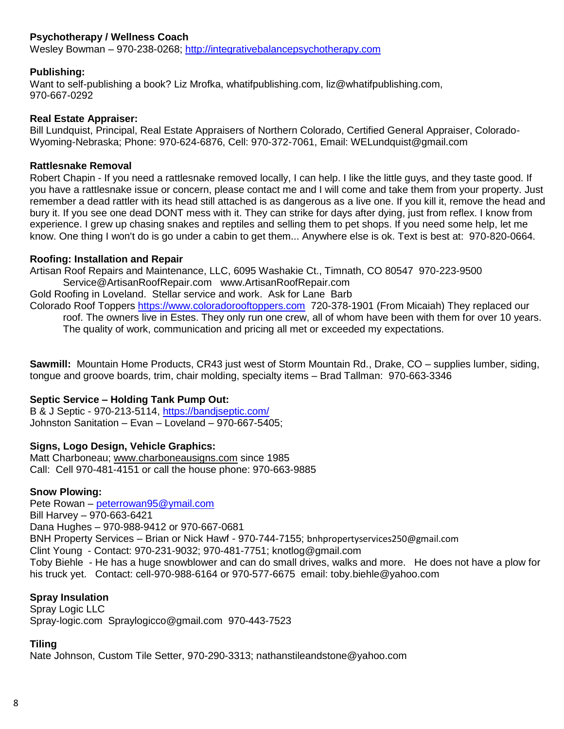## **Psychotherapy / Wellness Coach**

Wesley Bowman – 970-238-0268; [http://integrativebalancepsychotherapy.com](http://integrativebalancepsychotherapy.com/)

#### **Publishing:**

Want to self-publishing a book? Liz Mrofka, [whatifpublishing.com,](http://whatifpublishing.com/) [liz@whatifpublishing.com,](mailto:liz@whatifpublishing.com) 970-667-0292

#### **Real Estate Appraiser:**

Bill Lundquist, Principal, Real Estate Appraisers of Northern Colorado, Certified General Appraiser, Colorado-Wyoming-Nebraska; Phone: 970-624-6876, Cell: 970-372-7061, Email: WELundquist@gmail.com

#### **Rattlesnake Removal**

Robert Chapin - If you need a rattlesnake removed locally, I can help. I like the little guys, and they taste good. If you have a rattlesnake issue or concern, please contact me and I will come and take them from your property. Just remember a dead rattler with its head still attached is as dangerous as a live one. If you kill it, remove the head and bury it. If you see one dead DONT mess with it. They can strike for days after dying, just from reflex. I know from experience. I grew up chasing snakes and reptiles and selling them to pet shops. If you need some help, let me know. One thing I won't do is go under a cabin to get them... Anywhere else is ok. Text is best at: 970-820-0664.

#### **Roofing: Installation and Repair**

Artisan Roof Repairs and Maintenance, LLC, 6095 Washakie Ct., Timnath, CO 80547 970-223-9500 [Service@ArtisanRoofRepair.com](mailto:Service@ArtisanRoofRepair.com) [www.ArtisanRoofRepair.com](http://www.artisanroofrepair.com/) Gold Roofing in Loveland. Stellar service and work. Ask for Lane Barb

Colorado Roof Toppers [https://www.coloradorooftoppers.com](https://www.coloradorooftoppers.com/) 720-378-1901 (From Micaiah) They replaced our roof. The owners live in Estes. They only run one crew, all of whom have been with them for over 10 years. The quality of work, communication and pricing all met or exceeded my expectations.

**Sawmill:** Mountain Home Products, CR43 just west of Storm Mountain Rd., Drake, CO – supplies lumber, siding, tongue and groove boards, trim, chair molding, specialty items – Brad Tallman: 970-663-3346

### **Septic Service – Holding Tank Pump Out:**

B & J Septic - 970-213-5114,<https://bandjseptic.com/> Johnston Sanitation – Evan – Loveland – 970-667-5405;

### **Signs, Logo Design, Vehicle Graphics:**

Matt Charboneau; [www.charboneausigns.com](http://www.charboneausigns.com/) since 1985 Call: Cell 970-481-4151 or call the house phone: 970-663-9885

### **Snow Plowing:**

Pete Rowan – [peterrowan95@ymail.com](mailto:peterrowan95@ymail.com) Bill Harvey – 970-663-6421 Dana Hughes – 970-988-9412 or 970-667-0681 BNH Property Services – Brian or Nick Hawf - 970-744-7155; [bnhpropertyservices250@gmail.com](mailto:bnhpropertyservices250@gmail.com) Clint Young - Contact: 970-231-9032; 970-481-7751; [knotlog@gmail.com](mailto:knotlog@gmail.com) Toby Biehle - He has a huge snowblower and can do small drives, walks and more. He does not have a plow for his truck yet. Contact: cell-970-988-6164 or 970-577-6675 email: toby.biehle@yahoo.com

### **Spray Insulation**

Spray Logic LLC Spray-logic.com [Spraylogicco@gmail.com](mailto:Spraylogicco@gmail.com) 970-443-7523

### **Tiling**

Nate Johnson, Custom Tile Setter, 970-290-3313; nathanstileandstone@yahoo.com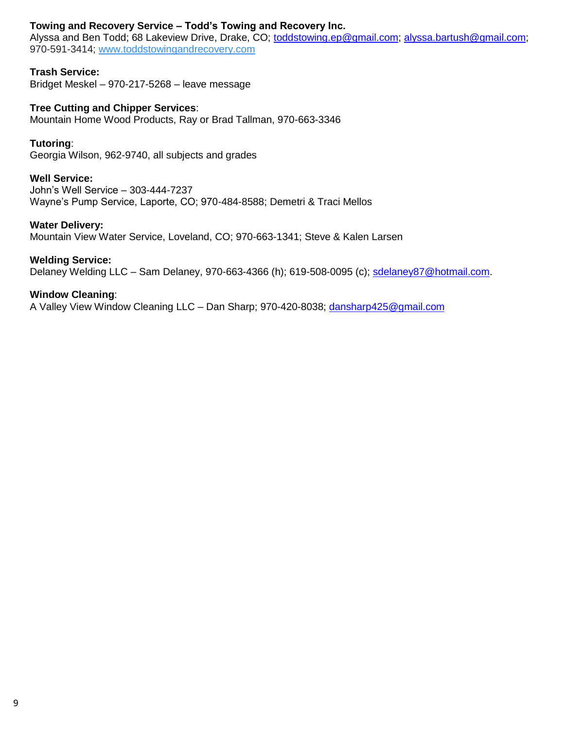## **Towing and Recovery Service – Todd's Towing and Recovery Inc.**

Alyssa and Ben Todd; 68 Lakeview Drive, Drake, CO; [toddstowing.ep@gmail.com;](mailto:toddstowing.ep@gmail.com) [alyssa.bartush@gmail.com;](mailto:alyssa.bartush@gmail.com) 970-591-3414; [www.toddstowingandrecovery.com](http://www.toddstowingandrecovery.com/)

## **Trash Service:**

Bridget Meskel – 970-217-5268 – leave message

**Tree Cutting and Chipper Services**:

Mountain Home Wood Products, Ray or Brad Tallman, 970-663-3346

## **Tutoring**:

Georgia Wilson, 962-9740, all subjects and grades

## **Well Service:**

John's Well Service – 303-444-7237 Wayne's Pump Service, Laporte, CO; 970-484-8588; Demetri & Traci Mellos

### **Water Delivery:**

Mountain View Water Service, Loveland, CO; 970-663-1341; Steve & Kalen Larsen

### **Welding Service:**

Delaney Welding LLC - Sam Delaney, 970-663-4366 (h); 619-508-0095 (c); [sdelaney87@hotmail.com.](mailto:sdelaney87@hotmail.com)

### **Window Cleaning**:

A Valley View Window Cleaning LLC – Dan Sharp; 970-420-8038; [dansharp425@gmail.com](mailto:dansharp425@gmail.com)